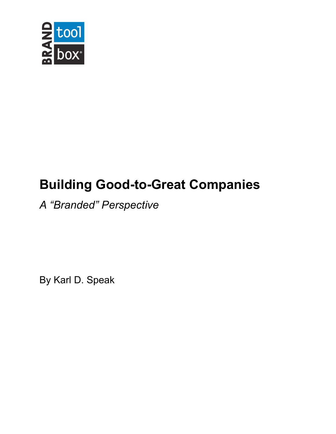

# **Building Good-to-Great Companies**

## *A "Branded" Perspective*

By Karl D. Speak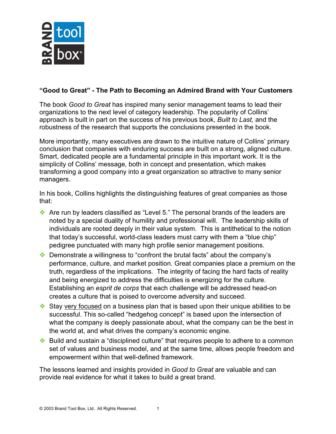

#### **"Good to Great" - The Path to Becoming an Admired Brand with Your Customers**

The book *Good to Great* has inspired many senior management teams to lead their organizations to the next level of category leadership. The popularity of Collins' approach is built in part on the success of his previous book, *Built to Last,* and the robustness of the research that supports the conclusions presented in the book.

More importantly, many executives are drawn to the intuitive nature of Collins' primary conclusion that companies with enduring success are built on a strong, aligned culture. Smart, dedicated people are a fundamental principle in this important work. It is the simplicity of Collins' message, both in concept and presentation, which makes transforming a good company into a great organization so attractive to many senior managers.

In his book, Collins highlights the distinguishing features of great companies as those that:

- $\cdot$  Are run by leaders classified as "Level 5." The personal brands of the leaders are noted by a special duality of humility and professional will. The leadership skills of individuals are rooted deeply in their value system. This is antithetical to the notion that today's successful, world-class leaders must carry with them a "blue chip" pedigree punctuated with many high profile senior management positions.
- $\cdot$  Demonstrate a willingness to "confront the brutal facts" about the company's performance, culture, and market position. Great companies place a premium on the truth, regardless of the implications. The integrity of facing the hard facts of reality and being energized to address the difficulties is energizing for the culture. Establishing an *esprit de corps* that each challenge will be addressed head-on creates a culture that is poised to overcome adversity and succeed.
- $\cdot$  Stay very focused on a business plan that is based upon their unique abilities to be successful. This so-called "hedgehog concept" is based upon the intersection of what the company is deeply passionate about, what the company can be the best in the world at, and what drives the company's economic engine.
- $\cdot$  Build and sustain a "disciplined culture" that requires people to adhere to a common set of values and business model, and at the same time, allows people freedom and empowerment within that well-defined framework.

The lessons learned and insights provided in *Good to Great* are valuable and can provide real evidence for what it takes to build a great brand.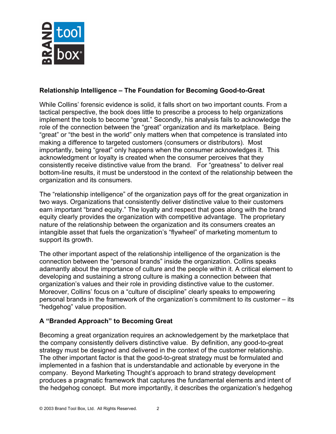

#### **Relationship Intelligence – The Foundation for Becoming Good-to-Great**

While Collins' forensic evidence is solid, it falls short on two important counts. From a tactical perspective, the book does little to prescribe a process to help organizations implement the tools to become "great." Secondly, his analysis fails to acknowledge the role of the connection between the "great" organization and its marketplace. Being "great" or "the best in the world" only matters when that competence is translated into making a difference to targeted customers (consumers or distributors). Most importantly, being "great" only happens when the consumer acknowledges it. This acknowledgment or loyalty is created when the consumer perceives that they consistently receive distinctive value from the brand. For "greatness" to deliver real bottom-line results, it must be understood in the context of the relationship between the organization and its consumers.

The "relationship intelligence" of the organization pays off for the great organization in two ways. Organizations that consistently deliver distinctive value to their customers earn important "brand equity." The loyalty and respect that goes along with the brand equity clearly provides the organization with competitive advantage. The proprietary nature of the relationship between the organization and its consumers creates an intangible asset that fuels the organization's "flywheel" of marketing momentum to support its growth.

The other important aspect of the relationship intelligence of the organization is the connection between the "personal brands" inside the organization. Collins speaks adamantly about the importance of culture and the people within it. A critical element to developing and sustaining a strong culture is making a connection between that organization's values and their role in providing distinctive value to the customer. Moreover, Collins' focus on a "culture of discipline" clearly speaks to empowering personal brands in the framework of the organization's commitment to its customer – its "hedgehog" value proposition.

### **A "Branded Approach" to Becoming Great**

Becoming a great organization requires an acknowledgement by the marketplace that the company consistently delivers distinctive value. By definition, any good-to-great strategy must be designed and delivered in the context of the customer relationship. The other important factor is that the good-to-great strategy must be formulated and implemented in a fashion that is understandable and actionable by everyone in the company. Beyond Marketing Thought's approach to brand strategy development produces a pragmatic framework that captures the fundamental elements and intent of the hedgehog concept. But more importantly, it describes the organization's hedgehog